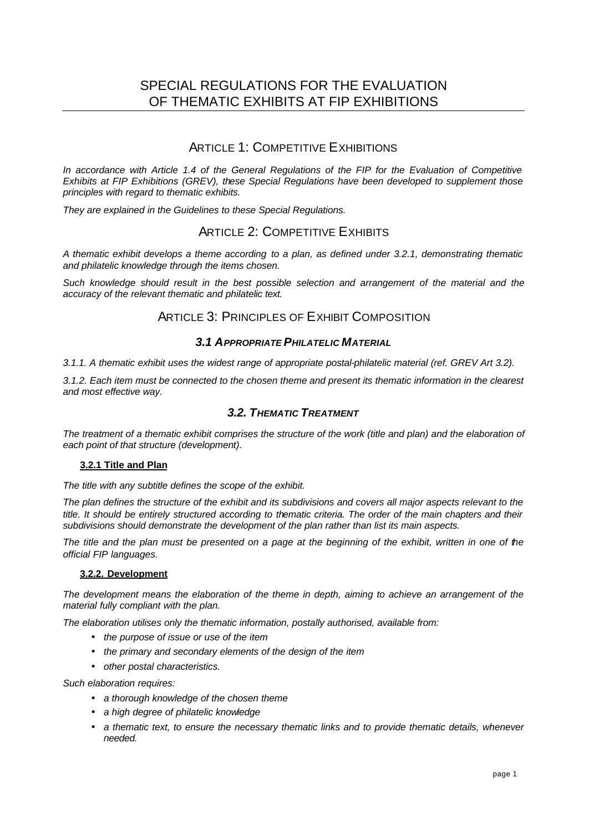# SPECIAL REGULATIONS FOR THE EVALUATION OF THEMATIC EXHIBITS AT FIP EXHIBITIONS

# ARTICLE 1: COMPETITIVE EXHIBITIONS

*In accordance with Article 1.4 of the General Regulations of the FIP for the Evaluation of Competitive Exhibits at FIP Exhibitions (GREV), these Special Regulations have been developed to supplement those principles with regard to thematic exhibits.* 

*They are explained in the Guidelines to these Special Regulations.* 

# ARTICLE 2: COMPETITIVE EXHIBITS

*A thematic exhibit develops a theme according to a plan, as defined under 3.2.1, demonstrating thematic and philatelic knowledge through the items chosen.* 

*Such knowledge should result in the best possible selection and arrangement of the material and the accuracy of the relevant thematic and philatelic text.*

# ARTICLE 3: PRINCIPLES OF EXHIBIT COMPOSITION

## *3.1 APPROPRIATE PHILATELIC MATERIAL*

*3.1.1. A thematic exhibit uses the widest range of appropriate postal-philatelic material (ref. GREV Art 3.2).* 

*3.1.2. Each item must be connected to the chosen theme and present its thematic information in the clearest and most effective way.* 

## *3.2. THEMATIC TREATMENT*

The treatment of a thematic exhibit comprises the structure of the work (title and plan) and the elaboration of *each point of that structure (development).* 

### **3.2.1 Title and Plan**

*The title with any subtitle defines the scope of the exhibit.* 

*The plan defines the structure of the exhibit and its subdivisions and covers all major aspects relevant to the title. It should be entirely structured according to thematic criteria. The order of the main chapters and their subdivisions should demonstrate the development of the plan rather than list its main aspects.*

*The title and the plan must be presented on a page at the beginning of the exhibit, written in one of the official FIP languages.*

### **3.2.2. Development**

*The development means the elaboration of the theme in depth, aiming to achieve an arrangement of the material fully compliant with the plan.* 

*The elaboration utilises only the thematic information, postally authorised, available from:*

- *the purpose of issue or use of the item*
- *the primary and secondary elements of the design of the item*
- *other postal characteristics.*

*Such elaboration requires:*

- *a thorough knowledge of the chosen theme*
- *a high degree of philatelic knowledge*
- *a thematic text, to ensure the necessary thematic links and to provide thematic details, whenever needed.*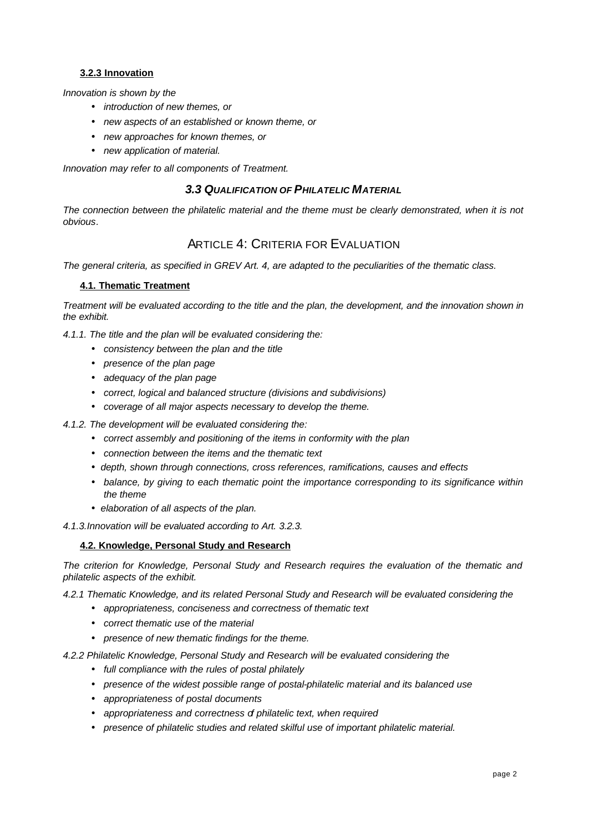## **3.2.3 Innovation**

*Innovation is shown by the* 

- *introduction of new themes, or*
- *new aspects of an established or known theme, or*
- *new approaches for known themes, or*
- *new application of material.*

*Innovation may refer to all components of Treatment.*

## *3.3 QUALIFICATION OF PHILATELIC MATERIAL*

*The connection between the philatelic material and the theme must be clearly demonstrated, when it is not obvious.*

## ARTICLE 4: CRITERIA FOR EVALUATION

*The general criteria, as specified in GREV Art. 4, are adapted to the peculiarities of the thematic class.* 

### **4.1. Thematic Treatment**

*Treatment will be evaluated according to the title and the plan, the development, and the innovation shown in the exhibit.*

*4.1.1. The title and the plan will be evaluated considering the:*

- *consistency between the plan and the title*
- *presence of the plan page*
- *adequacy of the plan page*
- *correct, logical and balanced structure (divisions and subdivisions)*
- *coverage of all major aspects necessary to develop the theme.*

*4.1.2. The development will be evaluated considering the:*

- *correct assembly and positioning of the items in conformity with the plan*
- *connection between the items and the thematic text*
- *depth, shown through connections, cross references, ramifications, causes and effects*
- *balance, by giving to each thematic point the importance corresponding to its significance within the theme*
- *elaboration of all aspects of the plan.*

*4.1.3.Innovation will be evaluated according to Art. 3.2.3.*

### **4.2. Knowledge, Personal Study and Research**

*The criterion for Knowledge, Personal Study and Research requires the evaluation of the thematic and philatelic aspects of the exhibit.*

*4.2.1 Thematic Knowledge, and its related Personal Study and Research will be evaluated considering the*

- *appropriateness, conciseness and correctness of thematic text*
- *correct thematic use of the material*
- *presence of new thematic findings for the theme.*

*4.2.2 Philatelic Knowledge, Personal Study and Research will be evaluated considering the*

- *full compliance with the rules of postal philately*
- *presence of the widest possible range of postal-philatelic material and its balanced use*
- *appropriateness of postal documents*
- *appropriateness and correctness of philatelic text, when required*
- *presence of philatelic studies and related skilful use of important philatelic material.*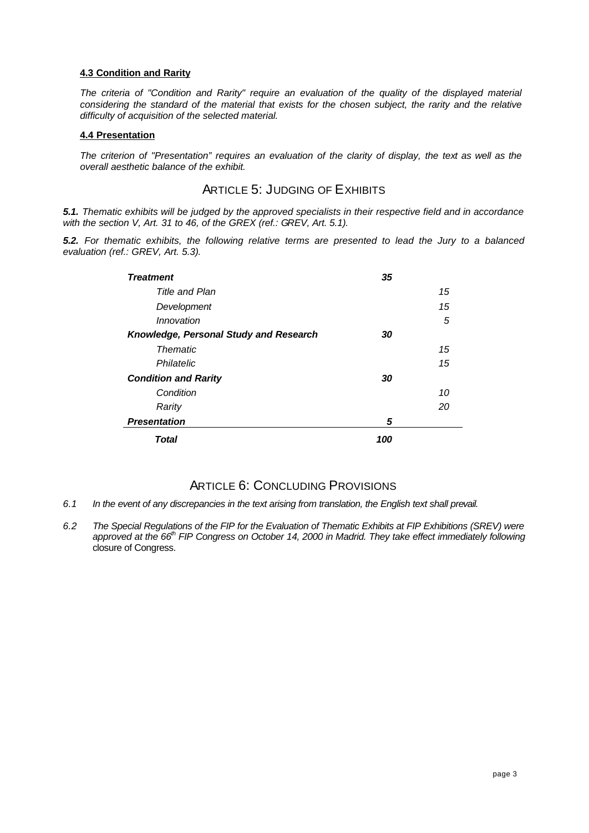### **4.3 Condition and Rarity**

*The criteria of "Condition and Rarity" require an evaluation of the quality of the displayed material considering the standard of the material that exists for the chosen subject, the rarity and the relative difficulty of acquisition of the selected material.*

### **4.4 Presentation**

*The criterion of "Presentation" requires an evaluation of the clarity of display, the text as well as the overall aesthetic balance of the exhibit.* 

# ARTICLE 5: JUDGING OF EXHIBITS

*5.1. Thematic exhibits will be judged by the approved specialists in their respective field and in accordance with the section V, Art. 31 to 46, of the GREX (ref.: GREV, Art. 5.1).*

*5.2. For thematic exhibits, the following relative terms are presented to lead the Jury to a balanced evaluation (ref.: GREV, Art. 5.3).*

| <b>Treatment</b>                       | 35  |    |
|----------------------------------------|-----|----|
| Title and Plan                         |     | 15 |
| Development                            |     | 15 |
| Innovation                             |     | 5  |
| Knowledge, Personal Study and Research | 30  |    |
| <b>Thematic</b>                        |     | 15 |
| Philatelic                             |     | 15 |
| <b>Condition and Rarity</b>            | 30  |    |
| Condition                              |     | 10 |
| Rarity                                 |     | 20 |
| <b>Presentation</b>                    | 5   |    |
| Total                                  | 100 |    |

# ARTICLE 6: CONCLUDING PROVISIONS

- *6.1 In the event of any discrepancies in the text arising from translation, the English text shall prevail.*
- *6.2 The Special Regulations of the FIP for the Evaluation of Thematic Exhibits at FIP Exhibitions (SREV) were approved at the 66th FIP Congress on October 14, 2000 in Madrid. They take effect immediately following* closure of Congress.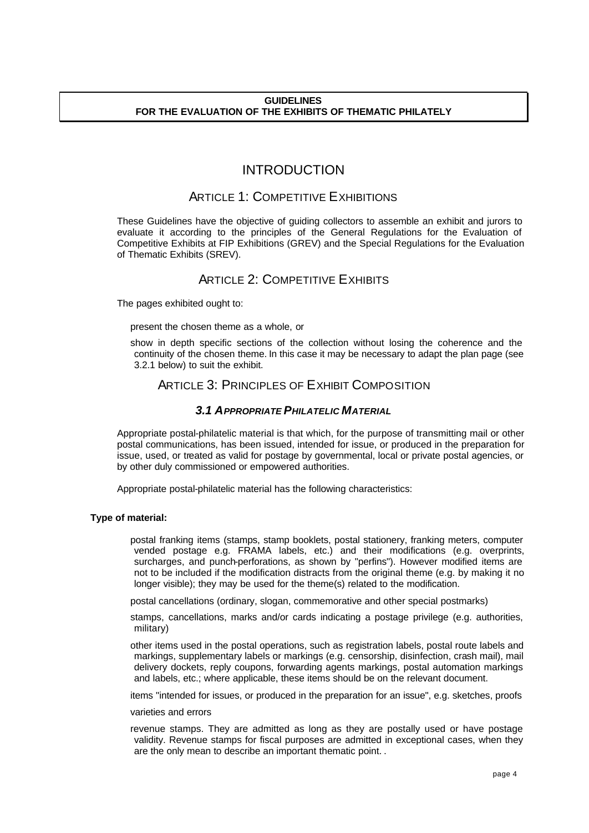### **GUIDELINES FOR THE EVALUATION OF THE EXHIBITS OF THEMATIC PHILATELY**

# INTRODUCTION

# ARTICLE 1: COMPETITIVE EXHIBITIONS

These Guidelines have the objective of guiding collectors to assemble an exhibit and jurors to evaluate it according to the principles of the General Regulations for the Evaluation of Competitive Exhibits at FIP Exhibitions (GREV) and the Special Regulations for the Evaluation of Thematic Exhibits (SREV).

# ARTICLE 2: COMPETITIVE EXHIBITS

The pages exhibited ought to:

present the chosen theme as a whole, or

show in depth specific sections of the collection without losing the coherence and the continuity of the chosen theme. In this case it may be necessary to adapt the plan page (see 3.2.1 below) to suit the exhibit.

# ARTICLE 3: PRINCIPLES OF EXHIBIT COMPOSITION

## *3.1 APPROPRIATE PHILATELIC MATERIAL*

Appropriate postal-philatelic material is that which, for the purpose of transmitting mail or other postal communications, has been issued, intended for issue, or produced in the preparation for issue, used, or treated as valid for postage by governmental, local or private postal agencies, or by other duly commissioned or empowered authorities.

Appropriate postal-philatelic material has the following characteristics:

### **Type of material:**

postal franking items (stamps, stamp booklets, postal stationery, franking meters, computer vended postage e.g. FRAMA labels, etc.) and their modifications (e.g. overprints, surcharges, and punch-perforations, as shown by "perfins"). However modified items are not to be included if the modification distracts from the original theme (e.g. by making it no longer visible); they may be used for the theme(s) related to the modification.

postal cancellations (ordinary, slogan, commemorative and other special postmarks)

stamps, cancellations, marks and/or cards indicating a postage privilege (e.g. authorities, military)

other items used in the postal operations, such as registration labels, postal route labels and markings, supplementary labels or markings (e.g. censorship, disinfection, crash mail), mail delivery dockets, reply coupons, forwarding agents markings, postal automation markings and labels, etc.; where applicable, these items should be on the relevant document.

items "intended for issues, or produced in the preparation for an issue", e.g. sketches, proofs

#### varieties and errors

revenue stamps. They are admitted as long as they are postally used or have postage validity. Revenue stamps for fiscal purposes are admitted in exceptional cases, when they are the only mean to describe an important thematic point. .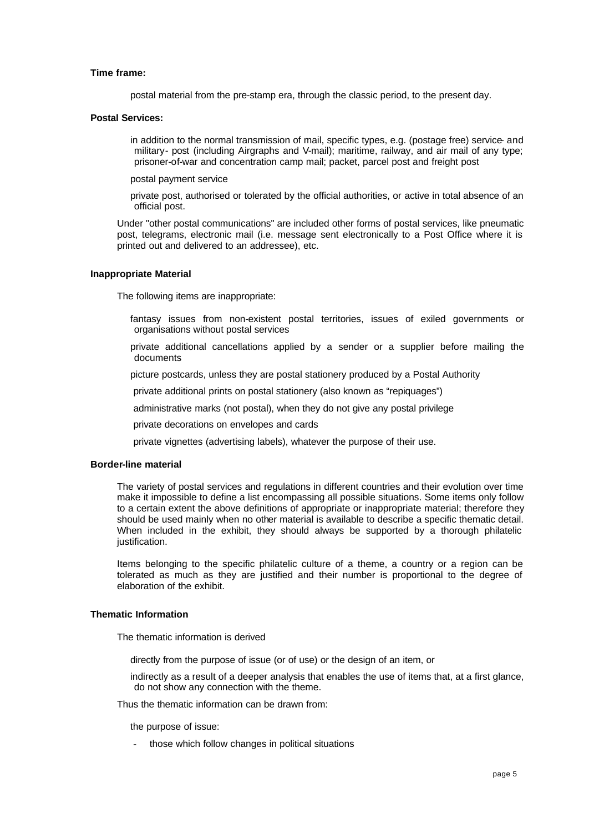#### **Time frame:**

postal material from the pre-stamp era, through the classic period, to the present day.

#### **Postal Services:**

in addition to the normal transmission of mail, specific types, e.g. (postage free) service- and military- post (including Airgraphs and V-mail); maritime, railway, and air mail of any type; prisoner-of-war and concentration camp mail; packet, parcel post and freight post

postal payment service

private post, authorised or tolerated by the official authorities, or active in total absence of an official post.

Under "other postal communications" are included other forms of postal services, like pneumatic post, telegrams, electronic mail (i.e. message sent electronically to a Post Office where it is printed out and delivered to an addressee), etc.

#### **Inappropriate Material**

The following items are inappropriate:

- fantasy issues from non-existent postal territories, issues of exiled governments or organisations without postal services
- private additional cancellations applied by a sender or a supplier before mailing the documents
- picture postcards, unless they are postal stationery produced by a Postal Authority
- private additional prints on postal stationery (also known as "repiquages")
- administrative marks (not postal), when they do not give any postal privilege
- private decorations on envelopes and cards
- private vignettes (advertising labels), whatever the purpose of their use.

#### **Border-line material**

The variety of postal services and regulations in different countries and their evolution over time make it impossible to define a list encompassing all possible situations. Some items only follow to a certain extent the above definitions of appropriate or inappropriate material; therefore they should be used mainly when no other material is available to describe a specific thematic detail. When included in the exhibit, they should always be supported by a thorough philatelic justification.

Items belonging to the specific philatelic culture of a theme, a country or a region can be tolerated as much as they are justified and their number is proportional to the degree of elaboration of the exhibit.

#### **Thematic Information**

The thematic information is derived

- directly from the purpose of issue (or of use) or the design of an item, or
- indirectly as a result of a deeper analysis that enables the use of items that, at a first glance, do not show any connection with the theme.

Thus the thematic information can be drawn from:

the purpose of issue:

- those which follow changes in political situations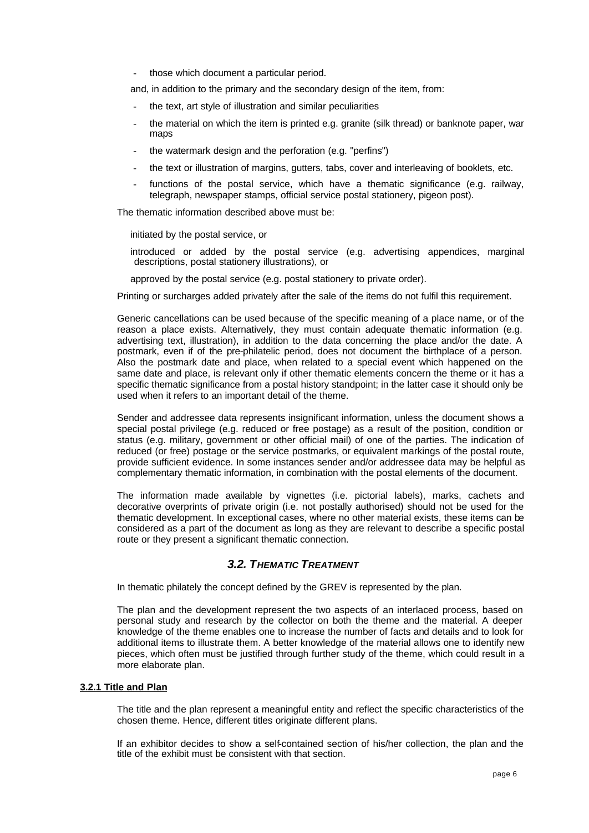those which document a particular period.

and, in addition to the primary and the secondary design of the item, from:

- the text, art style of illustration and similar peculiarities
- the material on which the item is printed e.g. granite (silk thread) or banknote paper, war maps
- the watermark design and the perforation (e.g. "perfins")
- the text or illustration of margins, gutters, tabs, cover and interleaving of booklets, etc.
- functions of the postal service, which have a thematic significance (e.g. railway, telegraph, newspaper stamps, official service postal stationery, pigeon post).

The thematic information described above must be:

initiated by the postal service, or

introduced or added by the postal service (e.g. advertising appendices, marginal descriptions, postal stationery illustrations), or

approved by the postal service (e.g. postal stationery to private order).

Printing or surcharges added privately after the sale of the items do not fulfil this requirement.

Generic cancellations can be used because of the specific meaning of a place name, or of the reason a place exists. Alternatively, they must contain adequate thematic information (e.g. advertising text, illustration), in addition to the data concerning the place and/or the date. A postmark, even if of the pre-philatelic period, does not document the birthplace of a person. Also the postmark date and place, when related to a special event which happened on the same date and place, is relevant only if other thematic elements concern the theme or it has a specific thematic significance from a postal history standpoint; in the latter case it should only be used when it refers to an important detail of the theme.

Sender and addressee data represents insignificant information, unless the document shows a special postal privilege (e.g. reduced or free postage) as a result of the position, condition or status (e.g. military, government or other official mail) of one of the parties. The indication of reduced (or free) postage or the service postmarks, or equivalent markings of the postal route, provide sufficient evidence. In some instances sender and/or addressee data may be helpful as complementary thematic information, in combination with the postal elements of the document.

The information made available by vignettes (i.e. pictorial labels), marks, cachets and decorative overprints of private origin (i.e. not postally authorised) should not be used for the thematic development. In exceptional cases, where no other material exists, these items can be considered as a part of the document as long as they are relevant to describe a specific postal route or they present a significant thematic connection.

## *3.2. THEMATIC TREATMENT*

In thematic philately the concept defined by the GREV is represented by the plan.

The plan and the development represent the two aspects of an interlaced process, based on personal study and research by the collector on both the theme and the material. A deeper knowledge of the theme enables one to increase the number of facts and details and to look for additional items to illustrate them. A better knowledge of the material allows one to identify new pieces, which often must be justified through further study of the theme, which could result in a more elaborate plan.

### **3.2.1 Title and Plan**

The title and the plan represent a meaningful entity and reflect the specific characteristics of the chosen theme. Hence, different titles originate different plans.

If an exhibitor decides to show a self-contained section of his/her collection, the plan and the title of the exhibit must be consistent with that section.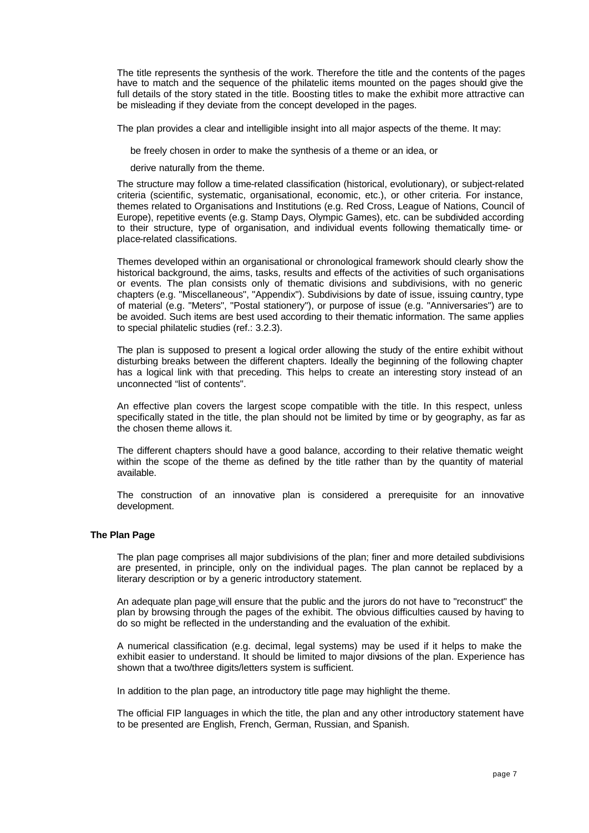The title represents the synthesis of the work. Therefore the title and the contents of the pages have to match and the sequence of the philatelic items mounted on the pages should give the full details of the story stated in the title. Boosting titles to make the exhibit more attractive can be misleading if they deviate from the concept developed in the pages.

The plan provides a clear and intelligible insight into all major aspects of the theme. It may:

be freely chosen in order to make the synthesis of a theme or an idea, or

derive naturally from the theme.

The structure may follow a time-related classification (historical, evolutionary), or subject-related criteria (scientific, systematic, organisational, economic, etc.), or other criteria. For instance, themes related to Organisations and Institutions (e.g. Red Cross, League of Nations, Council of Europe), repetitive events (e.g. Stamp Days, Olympic Games), etc. can be subdivided according to their structure, type of organisation, and individual events following thematically time- or place-related classifications.

Themes developed within an organisational or chronological framework should clearly show the historical background, the aims, tasks, results and effects of the activities of such organisations or events. The plan consists only of thematic divisions and subdivisions, with no generic chapters (e.g. "Miscellaneous", "Appendix"). Subdivisions by date of issue, issuing country, type of material (e.g. "Meters", "Postal stationery"), or purpose of issue (e.g. "Anniversaries") are to be avoided. Such items are best used according to their thematic information. The same applies to special philatelic studies (ref.: 3.2.3).

The plan is supposed to present a logical order allowing the study of the entire exhibit without disturbing breaks between the different chapters. Ideally the beginning of the following chapter has a logical link with that preceding. This helps to create an interesting story instead of an unconnected "list of contents".

An effective plan covers the largest scope compatible with the title. In this respect, unless specifically stated in the title, the plan should not be limited by time or by geography, as far as the chosen theme allows it.

The different chapters should have a good balance, according to their relative thematic weight within the scope of the theme as defined by the title rather than by the quantity of material available.

The construction of an innovative plan is considered a prerequisite for an innovative development.

#### **The Plan Page**

The plan page comprises all major subdivisions of the plan; finer and more detailed subdivisions are presented, in principle, only on the individual pages. The plan cannot be replaced by a literary description or by a generic introductory statement.

An adequate plan page will ensure that the public and the jurors do not have to "reconstruct" the plan by browsing through the pages of the exhibit. The obvious difficulties caused by having to do so might be reflected in the understanding and the evaluation of the exhibit.

A numerical classification (e.g. decimal, legal systems) may be used if it helps to make the exhibit easier to understand. It should be limited to major divisions of the plan. Experience has shown that a two/three digits/letters system is sufficient.

In addition to the plan page, an introductory title page may highlight the theme.

The official FIP languages in which the title, the plan and any other introductory statement have to be presented are English, French, German, Russian, and Spanish.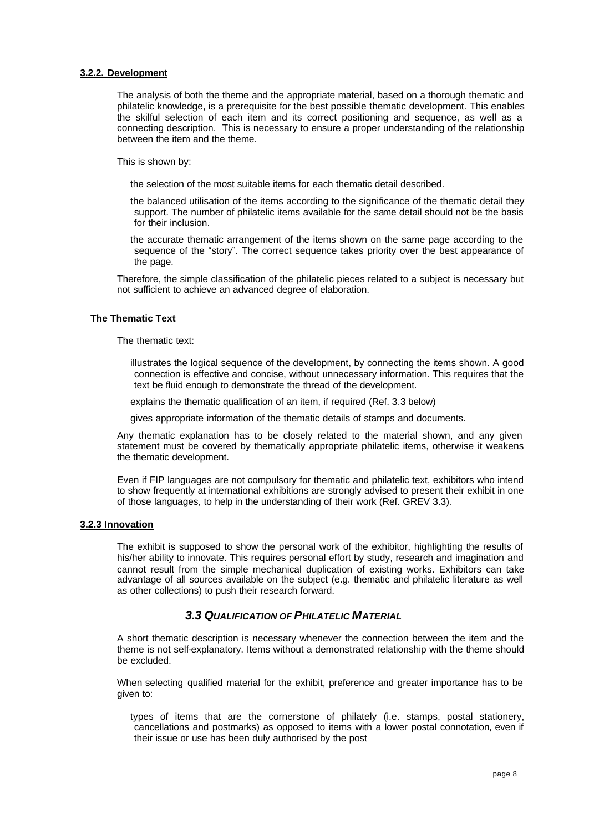### **3.2.2. Development**

The analysis of both the theme and the appropriate material, based on a thorough thematic and philatelic knowledge, is a prerequisite for the best possible thematic development. This enables the skilful selection of each item and its correct positioning and sequence, as well as a connecting description. This is necessary to ensure a proper understanding of the relationship between the item and the theme.

This is shown by:

the selection of the most suitable items for each thematic detail described.

the balanced utilisation of the items according to the significance of the thematic detail they support. The number of philatelic items available for the same detail should not be the basis for their inclusion.

the accurate thematic arrangement of the items shown on the same page according to the sequence of the "story". The correct sequence takes priority over the best appearance of the page.

Therefore, the simple classification of the philatelic pieces related to a subject is necessary but not sufficient to achieve an advanced degree of elaboration.

### **The Thematic Text**

The thematic text:

illustrates the logical sequence of the development, by connecting the items shown. A good connection is effective and concise, without unnecessary information. This requires that the text be fluid enough to demonstrate the thread of the development.

explains the thematic qualification of an item, if required (Ref. 3.3 below)

gives appropriate information of the thematic details of stamps and documents.

Any thematic explanation has to be closely related to the material shown, and any given statement must be covered by thematically appropriate philatelic items, otherwise it weakens the thematic development.

Even if FIP languages are not compulsory for thematic and philatelic text, exhibitors who intend to show frequently at international exhibitions are strongly advised to present their exhibit in one of those languages, to help in the understanding of their work (Ref. GREV 3.3).

### **3.2.3 Innovation**

The exhibit is supposed to show the personal work of the exhibitor, highlighting the results of his/her ability to innovate. This requires personal effort by study, research and imagination and cannot result from the simple mechanical duplication of existing works. Exhibitors can take advantage of all sources available on the subject (e.g. thematic and philatelic literature as well as other collections) to push their research forward.

## *3.3 QUALIFICATION OF PHILATELIC MATERIAL*

A short thematic description is necessary whenever the connection between the item and the theme is not self-explanatory. Items without a demonstrated relationship with the theme should be excluded.

When selecting qualified material for the exhibit, preference and greater importance has to be given to:

types of items that are the cornerstone of philately (i.e. stamps, postal stationery, cancellations and postmarks) as opposed to items with a lower postal connotation, even if their issue or use has been duly authorised by the post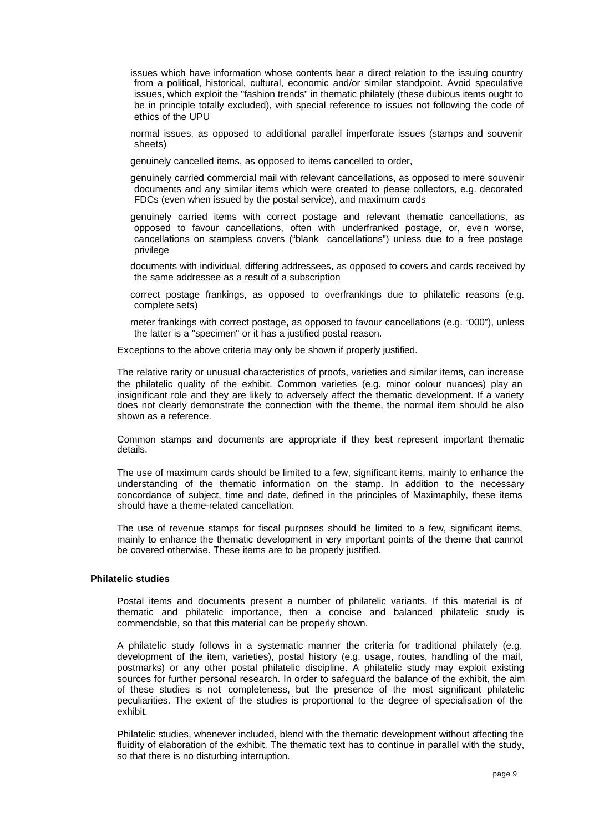issues which have information whose contents bear a direct relation to the issuing country from a political, historical, cultural, economic and/or similar standpoint. Avoid speculative issues, which exploit the "fashion trends" in thematic philately (these dubious items ought to be in principle totally excluded), with special reference to issues not following the code of ethics of the UPU

normal issues, as opposed to additional parallel imperforate issues (stamps and souvenir sheets)

genuinely cancelled items, as opposed to items cancelled to order,

genuinely carried commercial mail with relevant cancellations, as opposed to mere souvenir documents and any similar items which were created to please collectors, e.g. decorated FDCs (even when issued by the postal service), and maximum cards

genuinely carried items with correct postage and relevant thematic cancellations, as opposed to favour cancellations, often with underfranked postage, or, even worse, cancellations on stampless covers ("blank cancellations") unless due to a free postage privilege

documents with individual, differing addressees, as opposed to covers and cards received by the same addressee as a result of a subscription

- correct postage frankings, as opposed to overfrankings due to philatelic reasons (e.g. complete sets)
- meter frankings with correct postage, as opposed to favour cancellations (e.g. "000"), unless the latter is a "specimen" or it has a justified postal reason.

Exceptions to the above criteria may only be shown if properly justified.

The relative rarity or unusual characteristics of proofs, varieties and similar items, can increase the philatelic quality of the exhibit. Common varieties (e.g. minor colour nuances) play an insignificant role and they are likely to adversely affect the thematic development. If a variety does not clearly demonstrate the connection with the theme, the normal item should be also shown as a reference.

Common stamps and documents are appropriate if they best represent important thematic details.

The use of maximum cards should be limited to a few, significant items, mainly to enhance the understanding of the thematic information on the stamp. In addition to the necessary concordance of subject, time and date, defined in the principles of Maximaphily, these items should have a theme-related cancellation.

The use of revenue stamps for fiscal purposes should be limited to a few, significant items, mainly to enhance the thematic development in very important points of the theme that cannot be covered otherwise. These items are to be properly justified.

### **Philatelic studies**

Postal items and documents present a number of philatelic variants. If this material is of thematic and philatelic importance, then a concise and balanced philatelic study is commendable, so that this material can be properly shown.

A philatelic study follows in a systematic manner the criteria for traditional philately (e.g. development of the item, varieties), postal history (e.g. usage, routes, handling of the mail, postmarks) or any other postal philatelic discipline. A philatelic study may exploit existing sources for further personal research. In order to safeguard the balance of the exhibit, the aim of these studies is not completeness, but the presence of the most significant philatelic peculiarities. The extent of the studies is proportional to the degree of specialisation of the exhibit.

Philatelic studies, whenever included, blend with the thematic development without affecting the fluidity of elaboration of the exhibit. The thematic text has to continue in parallel with the study, so that there is no disturbing interruption.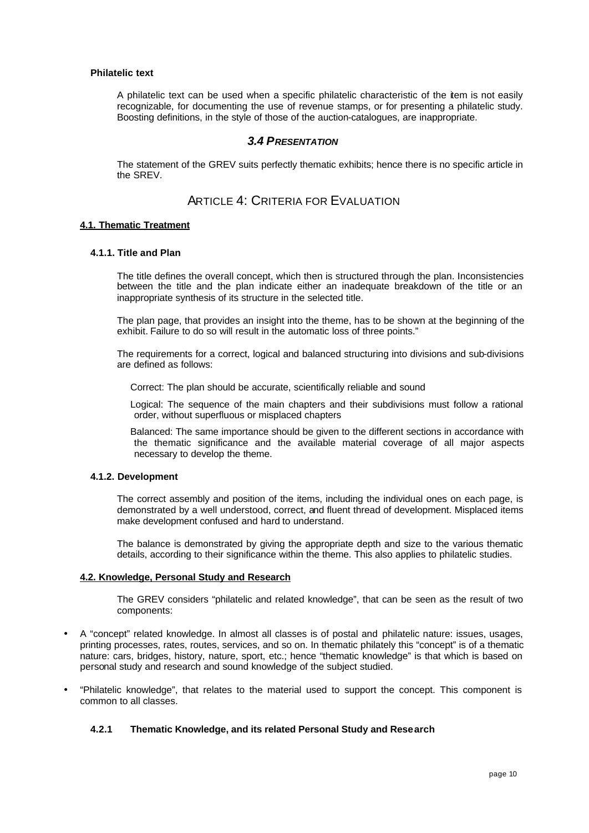### **Philatelic text**

A philatelic text can be used when a specific philatelic characteristic of the item is not easily recognizable, for documenting the use of revenue stamps, or for presenting a philatelic study. Boosting definitions, in the style of those of the auction-catalogues, are inappropriate.

## *3.4 PRESENTATION*

The statement of the GREV suits perfectly thematic exhibits; hence there is no specific article in the SREV.

## ARTICLE 4: CRITERIA FOR EVALUATION

#### **4.1. Thematic Treatment**

#### **4.1.1. Title and Plan**

The title defines the overall concept, which then is structured through the plan. Inconsistencies between the title and the plan indicate either an inadequate breakdown of the title or an inappropriate synthesis of its structure in the selected title.

The plan page, that provides an insight into the theme, has to be shown at the beginning of the exhibit. Failure to do so will result in the automatic loss of three points."

The requirements for a correct, logical and balanced structuring into divisions and sub-divisions are defined as follows:

Correct: The plan should be accurate, scientifically reliable and sound

Logical: The sequence of the main chapters and their subdivisions must follow a rational order, without superfluous or misplaced chapters

Balanced: The same importance should be given to the different sections in accordance with the thematic significance and the available material coverage of all major aspects necessary to develop the theme.

### **4.1.2. Development**

The correct assembly and position of the items, including the individual ones on each page, is demonstrated by a well understood, correct, and fluent thread of development. Misplaced items make development confused and hard to understand.

The balance is demonstrated by giving the appropriate depth and size to the various thematic details, according to their significance within the theme. This also applies to philatelic studies.

### **4.2. Knowledge, Personal Study and Research**

The GREV considers "philatelic and related knowledge", that can be seen as the result of two components:

- A "concept" related knowledge. In almost all classes is of postal and philatelic nature: issues, usages, printing processes, rates, routes, services, and so on. In thematic philately this "concept" is of a thematic nature: cars, bridges, history, nature, sport, etc.; hence "thematic knowledge" is that which is based on personal study and research and sound knowledge of the subject studied.
- "Philatelic knowledge", that relates to the material used to support the concept. This component is common to all classes.

### **4.2.1 Thematic Knowledge, and its related Personal Study and Research**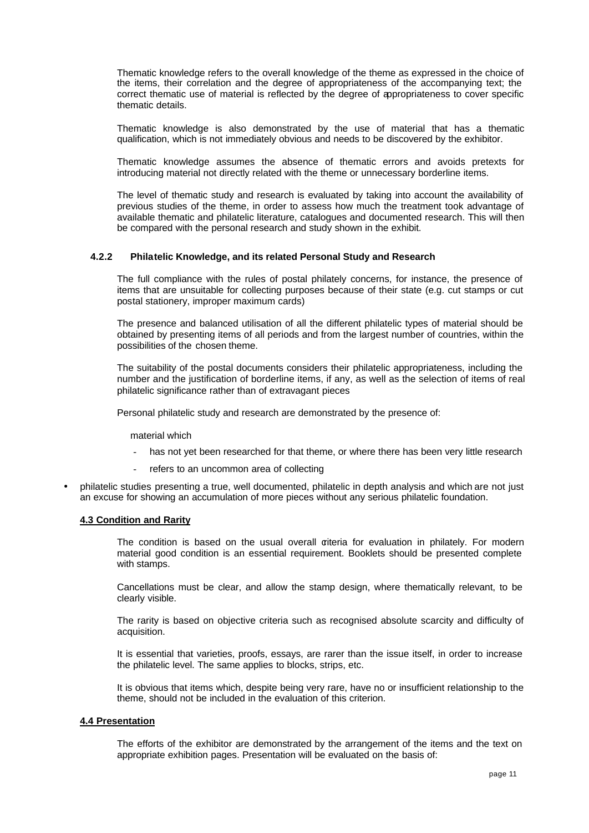Thematic knowledge refers to the overall knowledge of the theme as expressed in the choice of the items, their correlation and the degree of appropriateness of the accompanying text; the correct thematic use of material is reflected by the degree of appropriateness to cover specific thematic details.

Thematic knowledge is also demonstrated by the use of material that has a thematic qualification, which is not immediately obvious and needs to be discovered by the exhibitor.

Thematic knowledge assumes the absence of thematic errors and avoids pretexts for introducing material not directly related with the theme or unnecessary borderline items.

The level of thematic study and research is evaluated by taking into account the availability of previous studies of the theme, in order to assess how much the treatment took advantage of available thematic and philatelic literature, catalogues and documented research. This will then be compared with the personal research and study shown in the exhibit.

#### **4.2.2 Philatelic Knowledge, and its related Personal Study and Research**

The full compliance with the rules of postal philately concerns, for instance, the presence of items that are unsuitable for collecting purposes because of their state (e.g. cut stamps or cut postal stationery, improper maximum cards)

The presence and balanced utilisation of all the different philatelic types of material should be obtained by presenting items of all periods and from the largest number of countries, within the possibilities of the chosen theme.

The suitability of the postal documents considers their philatelic appropriateness, including the number and the justification of borderline items, if any, as well as the selection of items of real philatelic significance rather than of extravagant pieces

Personal philatelic study and research are demonstrated by the presence of:

material which

- has not yet been researched for that theme, or where there has been very little research
- refers to an uncommon area of collecting
- philatelic studies presenting a true, well documented, philatelic in depth analysis and which are not just an excuse for showing an accumulation of more pieces without any serious philatelic foundation.

#### **4.3 Condition and Rarity**

The condition is based on the usual overall criteria for evaluation in philately. For modern material good condition is an essential requirement. Booklets should be presented complete with stamps.

Cancellations must be clear, and allow the stamp design, where thematically relevant, to be clearly visible.

The rarity is based on objective criteria such as recognised absolute scarcity and difficulty of acquisition.

It is essential that varieties, proofs, essays, are rarer than the issue itself, in order to increase the philatelic level. The same applies to blocks, strips, etc.

It is obvious that items which, despite being very rare, have no or insufficient relationship to the theme, should not be included in the evaluation of this criterion.

### **4.4 Presentation**

The efforts of the exhibitor are demonstrated by the arrangement of the items and the text on appropriate exhibition pages. Presentation will be evaluated on the basis of: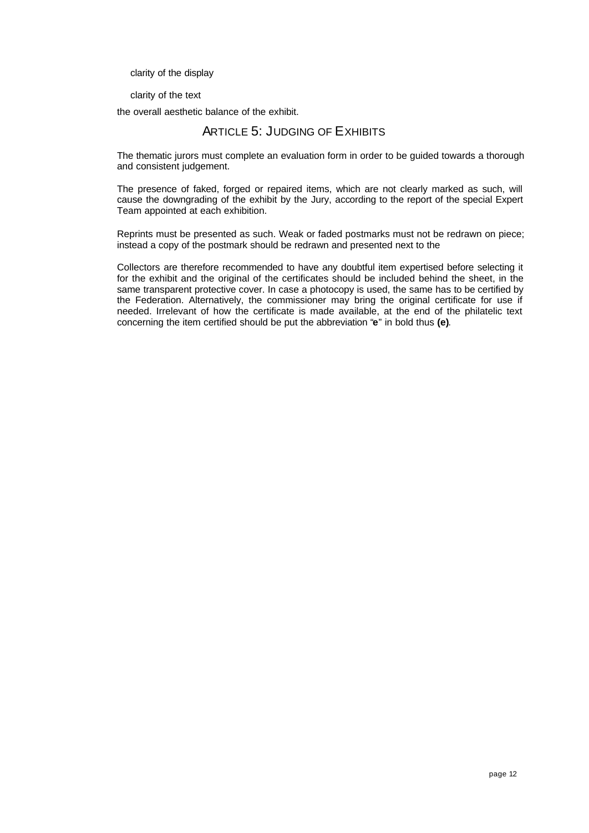clarity of the display

clarity of the text

the overall aesthetic balance of the exhibit.

# ARTICLE 5: JUDGING OF EXHIBITS

The thematic jurors must complete an evaluation form in order to be guided towards a thorough and consistent judgement.

The presence of faked, forged or repaired items, which are not clearly marked as such, will cause the downgrading of the exhibit by the Jury, according to the report of the special Expert Team appointed at each exhibition.

Reprints must be presented as such. Weak or faded postmarks must not be redrawn on piece; instead a copy of the postmark should be redrawn and presented next to the

Collectors are therefore recommended to have any doubtful item expertised before selecting it for the exhibit and the original of the certificates should be included behind the sheet, in the same transparent protective cover. In case a photocopy is used, the same has to be certified by the Federation. Alternatively, the commissioner may bring the original certificate for use if needed. Irrelevant of how the certificate is made available, at the end of the philatelic text concerning the item certified should be put the abbreviation "**e**" in bold thus **(e)**.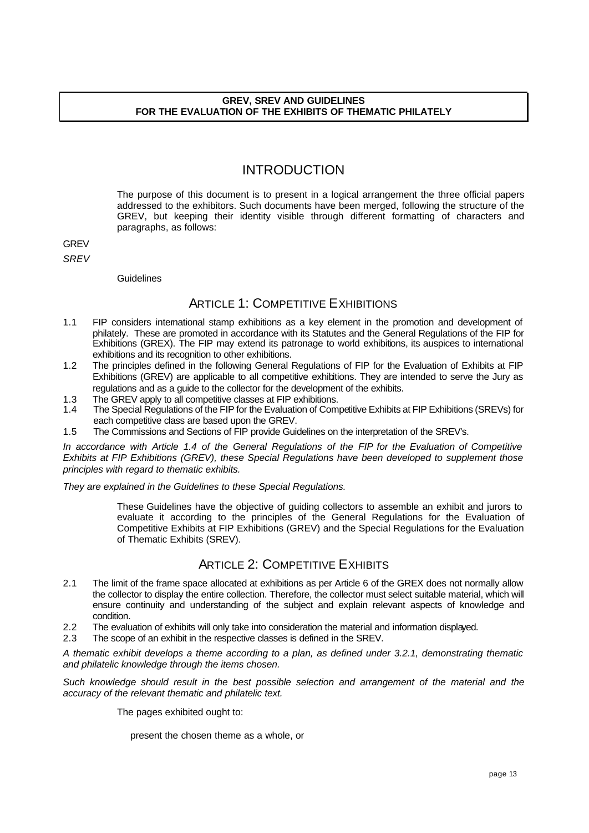### **GREV, SREV AND GUIDELINES FOR THE EVALUATION OF THE EXHIBITS OF THEMATIC PHILATELY**

# INTRODUCTION

The purpose of this document is to present in a logical arrangement the three official papers addressed to the exhibitors. Such documents have been merged, following the structure of the GREV, but keeping their identity visible through different formatting of characters and paragraphs, as follows:

**GREV** 

*SREV*

Guidelines

# ARTICLE 1: COMPETITIVE EXHIBITIONS

- 1.1 FIP considers international stamp exhibitions as a key element in the promotion and development of philately. These are promoted in accordance with its Statutes and the General Regulations of the FIP for Exhibitions (GREX). The FIP may extend its patronage to world exhibitions, its auspices to international exhibitions and its recognition to other exhibitions.
- 1.2 The principles defined in the following General Regulations of FIP for the Evaluation of Exhibits at FIP Exhibitions (GREV) are applicable to all competitive exhibitions. They are intended to serve the Jury as regulations and as a guide to the collector for the development of the exhibits.
- 1.3 The GREV apply to all competitive classes at FIP exhibitions.<br>1.4 The Special Requilations of the FIP for the Evaluation of Com
- The Special Regulations of the FIP for the Evaluation of Competitive Exhibits at FIP Exhibitions (SREVs) for each competitive class are based upon the GREV.
- 1.5 The Commissions and Sections of FIP provide Guidelines on the interpretation of the SREV's.

*In accordance with Article 1.4 of the General Regulations of the FIP for the Evaluation of Competitive Exhibits at FIP Exhibitions (GREV), these Special Regulations have been developed to supplement those principles with regard to thematic exhibits.* 

*They are explained in the Guidelines to these Special Regulations.* 

These Guidelines have the objective of guiding collectors to assemble an exhibit and jurors to evaluate it according to the principles of the General Regulations for the Evaluation of Competitive Exhibits at FIP Exhibitions (GREV) and the Special Regulations for the Evaluation of Thematic Exhibits (SREV).

# ARTICLE 2: COMPETITIVE EXHIBITS

- 2.1 The limit of the frame space allocated at exhibitions as per Article 6 of the GREX does not normally allow the collector to display the entire collection. Therefore, the collector must select suitable material, which will ensure continuity and understanding of the subject and explain relevant aspects of knowledge and condition.
- 2.2 The evaluation of exhibits will only take into consideration the material and information displayed.
- 2.3 The scope of an exhibit in the respective classes is defined in the SREV.

*A thematic exhibit develops a theme according to a plan, as defined under 3.2.1, demonstrating thematic and philatelic knowledge through the items chosen.* 

*Such knowledge should result in the best possible selection and arrangement of the material and the accuracy of the relevant thematic and philatelic text.*

The pages exhibited ought to:

present the chosen theme as a whole, or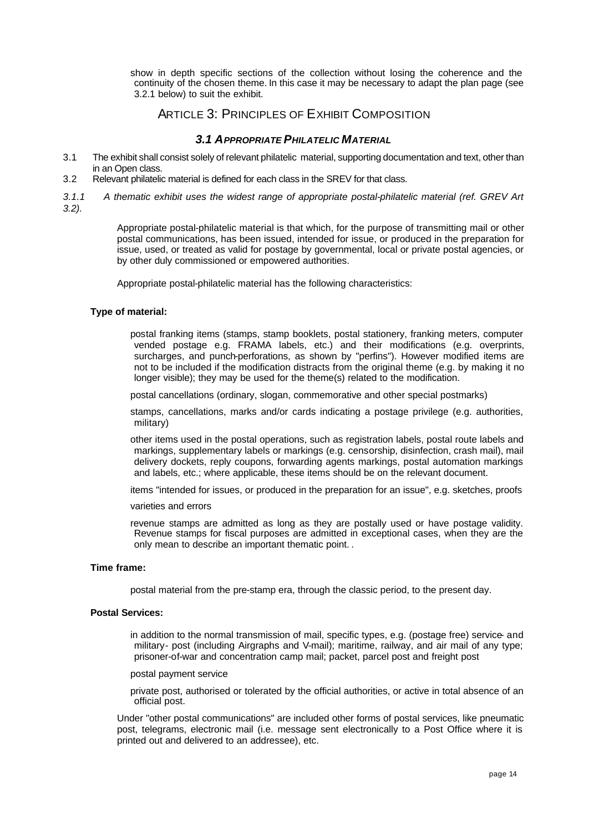show in depth specific sections of the collection without losing the coherence and the continuity of the chosen theme. In this case it may be necessary to adapt the plan page (see 3.2.1 below) to suit the exhibit.

# ARTICLE 3: PRINCIPLES OF EXHIBIT COMPOSITION

## *3.1 APPROPRIATE PHILATELIC MATERIAL*

- 3.1 The exhibit shall consist solely of relevant philatelic material, supporting documentation and text, other than in an Open class.
- 3.2 Relevant philatelic material is defined for each class in the SREV for that class.
- *3.1.1 A thematic exhibit uses the widest range of appropriate postal-philatelic material (ref. GREV Art 3.2).*

Appropriate postal-philatelic material is that which, for the purpose of transmitting mail or other postal communications, has been issued, intended for issue, or produced in the preparation for issue, used, or treated as valid for postage by governmental, local or private postal agencies, or by other duly commissioned or empowered authorities.

Appropriate postal-philatelic material has the following characteristics:

### **Type of material:**

postal franking items (stamps, stamp booklets, postal stationery, franking meters, computer vended postage e.g. FRAMA labels, etc.) and their modifications (e.g. overprints, surcharges, and punch-perforations, as shown by "perfins"). However modified items are not to be included if the modification distracts from the original theme (e.g. by making it no longer visible); they may be used for the theme(s) related to the modification.

postal cancellations (ordinary, slogan, commemorative and other special postmarks)

stamps, cancellations, marks and/or cards indicating a postage privilege (e.g. authorities, military)

other items used in the postal operations, such as registration labels, postal route labels and markings, supplementary labels or markings (e.g. censorship, disinfection, crash mail), mail delivery dockets, reply coupons, forwarding agents markings, postal automation markings and labels, etc.; where applicable, these items should be on the relevant document.

items "intended for issues, or produced in the preparation for an issue", e.g. sketches, proofs

### varieties and errors

revenue stamps are admitted as long as they are postally used or have postage validity. Revenue stamps for fiscal purposes are admitted in exceptional cases, when they are the only mean to describe an important thematic point. .

### **Time frame:**

postal material from the pre-stamp era, through the classic period, to the present day.

### **Postal Services:**

in addition to the normal transmission of mail, specific types, e.g. (postage free) service- and military- post (including Airgraphs and V-mail); maritime, railway, and air mail of any type; prisoner-of-war and concentration camp mail; packet, parcel post and freight post

postal payment service

private post, authorised or tolerated by the official authorities, or active in total absence of an official post.

Under "other postal communications" are included other forms of postal services, like pneumatic post, telegrams, electronic mail (i.e. message sent electronically to a Post Office where it is printed out and delivered to an addressee), etc.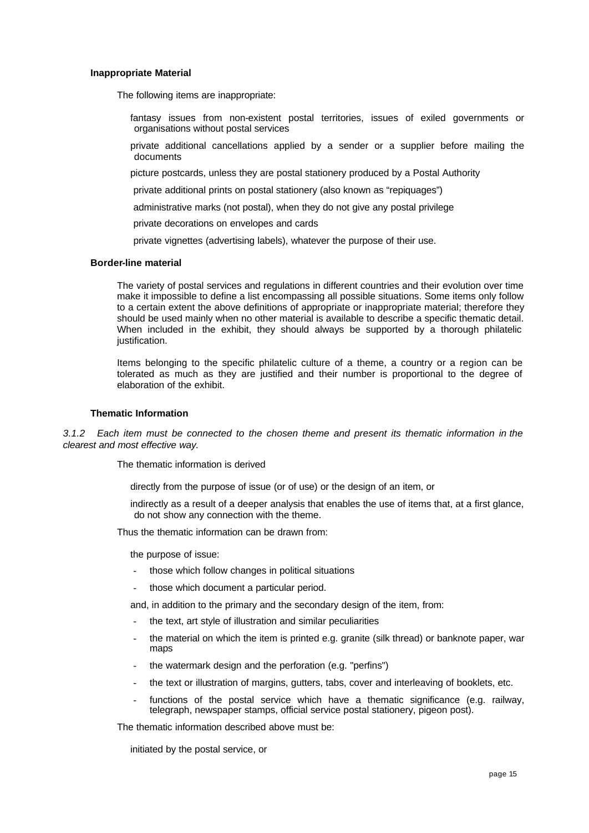#### **Inappropriate Material**

The following items are inappropriate:

- fantasy issues from non-existent postal territories, issues of exiled governments or organisations without postal services
- private additional cancellations applied by a sender or a supplier before mailing the documents
- picture postcards, unless they are postal stationery produced by a Postal Authority
- private additional prints on postal stationery (also known as "repiquages")
- administrative marks (not postal), when they do not give any postal privilege
- private decorations on envelopes and cards
- private vignettes (advertising labels), whatever the purpose of their use.

#### **Border-line material**

The variety of postal services and regulations in different countries and their evolution over time make it impossible to define a list encompassing all possible situations. Some items only follow to a certain extent the above definitions of appropriate or inappropriate material; therefore they should be used mainly when no other material is available to describe a specific thematic detail. When included in the exhibit, they should always be supported by a thorough philatelic justification.

Items belonging to the specific philatelic culture of a theme, a country or a region can be tolerated as much as they are justified and their number is proportional to the degree of elaboration of the exhibit.

#### **Thematic Information**

*3.1.2 Each item must be connected to the chosen theme and present its thematic information in the clearest and most effective way.* 

The thematic information is derived

directly from the purpose of issue (or of use) or the design of an item, or

indirectly as a result of a deeper analysis that enables the use of items that, at a first glance, do not show any connection with the theme.

Thus the thematic information can be drawn from:

the purpose of issue:

- those which follow changes in political situations
- those which document a particular period.

and, in addition to the primary and the secondary design of the item, from:

- the text, art style of illustration and similar peculiarities
- the material on which the item is printed e.g. granite (silk thread) or banknote paper, war maps
- the watermark design and the perforation (e.g. "perfins")
- the text or illustration of margins, gutters, tabs, cover and interleaving of booklets, etc.
- functions of the postal service which have a thematic significance (e.g. railway, telegraph, newspaper stamps, official service postal stationery, pigeon post).

The thematic information described above must be:

initiated by the postal service, or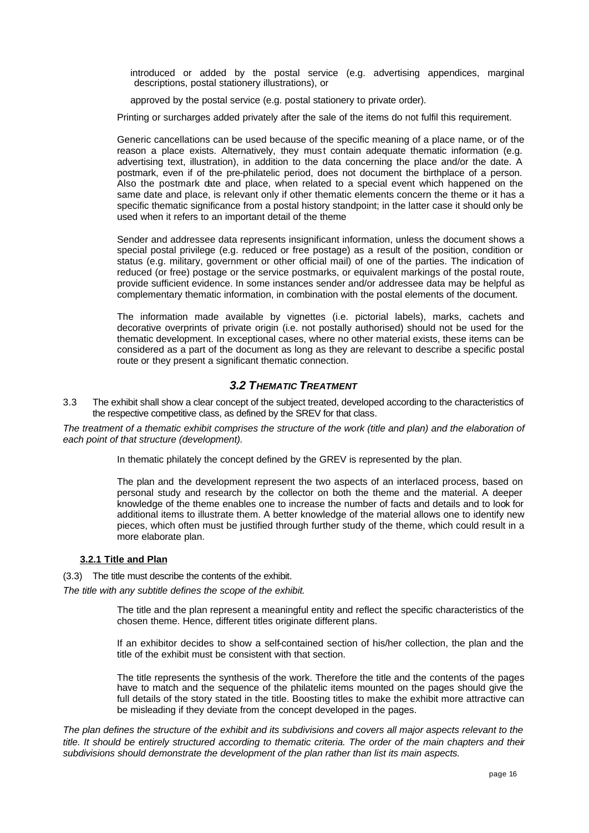introduced or added by the postal service (e.g. advertising appendices, marginal descriptions, postal stationery illustrations), or

approved by the postal service (e.g. postal stationery to private order).

Printing or surcharges added privately after the sale of the items do not fulfil this requirement.

Generic cancellations can be used because of the specific meaning of a place name, or of the reason a place exists. Alternatively, they must contain adequate thematic information (e.g. advertising text, illustration), in addition to the data concerning the place and/or the date. A postmark, even if of the pre-philatelic period, does not document the birthplace of a person. Also the postmark date and place, when related to a special event which happened on the same date and place, is relevant only if other thematic elements concern the theme or it has a specific thematic significance from a postal history standpoint; in the latter case it should only be used when it refers to an important detail of the theme

Sender and addressee data represents insignificant information, unless the document shows a special postal privilege (e.g. reduced or free postage) as a result of the position, condition or status (e.g. military, government or other official mail) of one of the parties. The indication of reduced (or free) postage or the service postmarks, or equivalent markings of the postal route, provide sufficient evidence. In some instances sender and/or addressee data may be helpful as complementary thematic information, in combination with the postal elements of the document.

The information made available by vignettes (i.e. pictorial labels), marks, cachets and decorative overprints of private origin (i.e. not postally authorised) should not be used for the thematic development. In exceptional cases, where no other material exists, these items can be considered as a part of the document as long as they are relevant to describe a specific postal route or they present a significant thematic connection.

# *3.2 THEMATIC TREATMENT*

3.3 The exhibit shall show a clear concept of the subject treated, developed according to the characteristics of the respective competitive class, as defined by the SREV for that class.

The treatment of a thematic exhibit comprises the structure of the work (title and plan) and the elaboration of *each point of that structure (development).* 

In thematic philately the concept defined by the GREV is represented by the plan.

The plan and the development represent the two aspects of an interlaced process, based on personal study and research by the collector on both the theme and the material. A deeper knowledge of the theme enables one to increase the number of facts and details and to look for additional items to illustrate them. A better knowledge of the material allows one to identify new pieces, which often must be justified through further study of the theme, which could result in a more elaborate plan.

### **3.2.1 Title and Plan**

(3.3) The title must describe the contents of the exhibit.

*The title with any subtitle defines the scope of the exhibit.* 

The title and the plan represent a meaningful entity and reflect the specific characteristics of the chosen theme. Hence, different titles originate different plans.

If an exhibitor decides to show a self-contained section of his/her collection, the plan and the title of the exhibit must be consistent with that section.

The title represents the synthesis of the work. Therefore the title and the contents of the pages have to match and the sequence of the philatelic items mounted on the pages should give the full details of the story stated in the title. Boosting titles to make the exhibit more attractive can be misleading if they deviate from the concept developed in the pages.

*The plan defines the structure of the exhibit and its subdivisions and covers all major aspects relevant to the title. It should be entirely structured according to thematic criteria. The order of the main chapters and their subdivisions should demonstrate the development of the plan rather than list its main aspects.*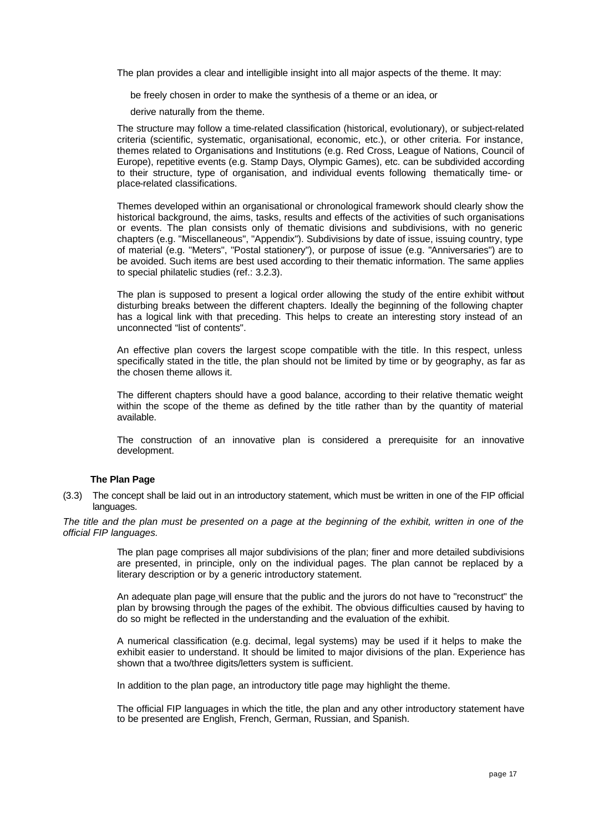The plan provides a clear and intelligible insight into all major aspects of the theme. It may:

be freely chosen in order to make the synthesis of a theme or an idea, or

derive naturally from the theme.

The structure may follow a time-related classification (historical, evolutionary), or subject-related criteria (scientific, systematic, organisational, economic, etc.), or other criteria. For instance, themes related to Organisations and Institutions (e.g. Red Cross, League of Nations, Council of Europe), repetitive events (e.g. Stamp Days, Olympic Games), etc. can be subdivided according to their structure, type of organisation, and individual events following thematically time- or place-related classifications.

Themes developed within an organisational or chronological framework should clearly show the historical background, the aims, tasks, results and effects of the activities of such organisations or events. The plan consists only of thematic divisions and subdivisions, with no generic chapters (e.g. "Miscellaneous", "Appendix"). Subdivisions by date of issue, issuing country, type of material (e.g. "Meters", "Postal stationery"), or purpose of issue (e.g. "Anniversaries") are to be avoided. Such items are best used according to their thematic information. The same applies to special philatelic studies (ref.: 3.2.3).

The plan is supposed to present a logical order allowing the study of the entire exhibit without disturbing breaks between the different chapters. Ideally the beginning of the following chapter has a logical link with that preceding. This helps to create an interesting story instead of an unconnected "list of contents".

An effective plan covers the largest scope compatible with the title. In this respect, unless specifically stated in the title, the plan should not be limited by time or by geography, as far as the chosen theme allows it.

The different chapters should have a good balance, according to their relative thematic weight within the scope of the theme as defined by the title rather than by the quantity of material available.

The construction of an innovative plan is considered a prerequisite for an innovative development.

### **The Plan Page**

(3.3) The concept shall be laid out in an introductory statement, which must be written in one of the FIP official languages.

*The title and the plan must be presented on a page at the beginning of the exhibit, written in one of the official FIP languages.*

> The plan page comprises all major subdivisions of the plan; finer and more detailed subdivisions are presented, in principle, only on the individual pages. The plan cannot be replaced by a literary description or by a generic introductory statement.

> An adequate plan page will ensure that the public and the jurors do not have to "reconstruct" the plan by browsing through the pages of the exhibit. The obvious difficulties caused by having to do so might be reflected in the understanding and the evaluation of the exhibit.

> A numerical classification (e.g. decimal, legal systems) may be used if it helps to make the exhibit easier to understand. It should be limited to major divisions of the plan. Experience has shown that a two/three digits/letters system is sufficient.

In addition to the plan page, an introductory title page may highlight the theme.

The official FIP languages in which the title, the plan and any other introductory statement have to be presented are English, French, German, Russian, and Spanish.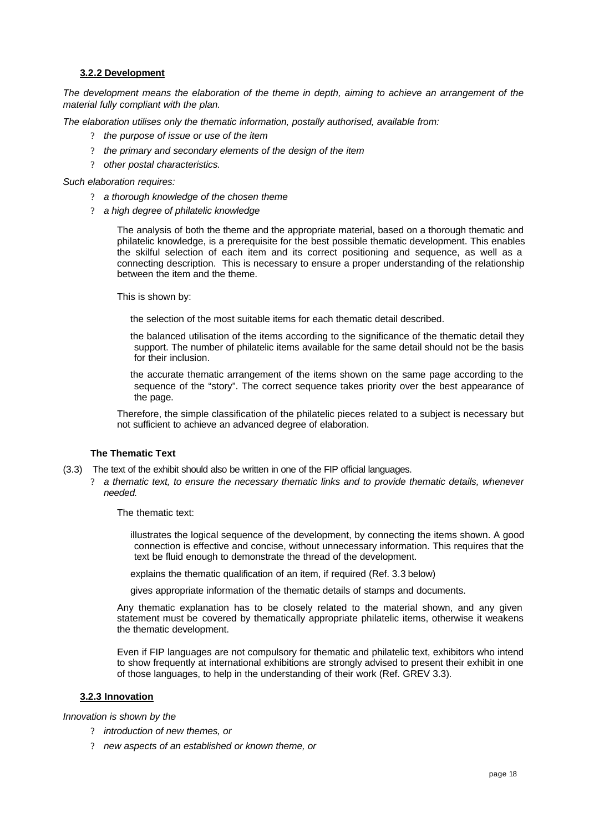### **3.2.2 Development**

*The development means the elaboration of the theme in depth, aiming to achieve an arrangement of the material fully compliant with the plan.* 

*The elaboration utilises only the thematic information, postally authorised, available from:*

- ? *the purpose of issue or use of the item*
- ? *the primary and secondary elements of the design of the item*
- ? *other postal characteristics.*

*Such elaboration requires:*

- ? *a thorough knowledge of the chosen theme*
- ? *a high degree of philatelic knowledge*

The analysis of both the theme and the appropriate material, based on a thorough thematic and philatelic knowledge, is a prerequisite for the best possible thematic development. This enables the skilful selection of each item and its correct positioning and sequence, as well as a connecting description. This is necessary to ensure a proper understanding of the relationship between the item and the theme.

This is shown by:

the selection of the most suitable items for each thematic detail described.

the balanced utilisation of the items according to the significance of the thematic detail they support. The number of philatelic items available for the same detail should not be the basis for their inclusion.

the accurate thematic arrangement of the items shown on the same page according to the sequence of the "story". The correct sequence takes priority over the best appearance of the page.

Therefore, the simple classification of the philatelic pieces related to a subject is necessary but not sufficient to achieve an advanced degree of elaboration.

### **The Thematic Text**

- (3.3) The text of the exhibit should also be written in one of the FIP official languages.
	- ? *a thematic text, to ensure the necessary thematic links and to provide thematic details, whenever needed.*

The thematic text:

illustrates the logical sequence of the development, by connecting the items shown. A good connection is effective and concise, without unnecessary information. This requires that the text be fluid enough to demonstrate the thread of the development.

explains the thematic qualification of an item, if required (Ref. 3.3 below)

gives appropriate information of the thematic details of stamps and documents.

Any thematic explanation has to be closely related to the material shown, and any given statement must be covered by thematically appropriate philatelic items, otherwise it weakens the thematic development.

Even if FIP languages are not compulsory for thematic and philatelic text, exhibitors who intend to show frequently at international exhibitions are strongly advised to present their exhibit in one of those languages, to help in the understanding of their work (Ref. GREV 3.3).

### **3.2.3 Innovation**

*Innovation is shown by the* 

- ? *introduction of new themes, or*
- ? *new aspects of an established or known theme, or*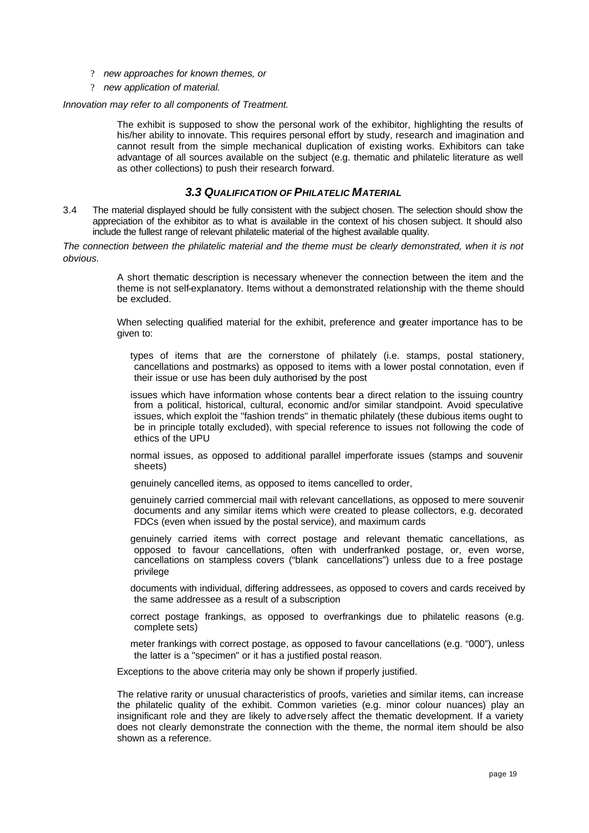- ? *new approaches for known themes, or*
- ? *new application of material.*

#### *Innovation may refer to all components of Treatment.*

The exhibit is supposed to show the personal work of the exhibitor, highlighting the results of his/her ability to innovate. This requires personal effort by study, research and imagination and cannot result from the simple mechanical duplication of existing works. Exhibitors can take advantage of all sources available on the subject (e.g. thematic and philatelic literature as well as other collections) to push their research forward.

### *3.3 QUALIFICATION OF PHILATELIC MATERIAL*

3.4 The material displayed should be fully consistent with the subject chosen. The selection should show the appreciation of the exhibitor as to what is available in the context of his chosen subject. It should also include the fullest range of relevant philatelic material of the highest available quality.

*The connection between the philatelic material and the theme must be clearly demonstrated, when it is not obvious.*

> A short thematic description is necessary whenever the connection between the item and the theme is not self-explanatory. Items without a demonstrated relationship with the theme should be excluded.

> When selecting qualified material for the exhibit, preference and greater importance has to be given to:

types of items that are the cornerstone of philately (i.e. stamps, postal stationery, cancellations and postmarks) as opposed to items with a lower postal connotation, even if their issue or use has been duly authorised by the post

issues which have information whose contents bear a direct relation to the issuing country from a political, historical, cultural, economic and/or similar standpoint. Avoid speculative issues, which exploit the "fashion trends" in thematic philately (these dubious items ought to be in principle totally excluded), with special reference to issues not following the code of ethics of the UPU

normal issues, as opposed to additional parallel imperforate issues (stamps and souvenir sheets)

genuinely cancelled items, as opposed to items cancelled to order,

genuinely carried commercial mail with relevant cancellations, as opposed to mere souvenir documents and any similar items which were created to please collectors, e.g. decorated FDCs (even when issued by the postal service), and maximum cards

genuinely carried items with correct postage and relevant thematic cancellations, as opposed to favour cancellations, often with underfranked postage, or, even worse, cancellations on stampless covers ("blank cancellations") unless due to a free postage privilege

documents with individual, differing addressees, as opposed to covers and cards received by the same addressee as a result of a subscription

- correct postage frankings, as opposed to overfrankings due to philatelic reasons (e.g. complete sets)
- meter frankings with correct postage, as opposed to favour cancellations (e.g. "000"), unless the latter is a "specimen" or it has a justified postal reason.

Exceptions to the above criteria may only be shown if properly justified.

The relative rarity or unusual characteristics of proofs, varieties and similar items, can increase the philatelic quality of the exhibit. Common varieties (e.g. minor colour nuances) play an insignificant role and they are likely to adversely affect the thematic development. If a variety does not clearly demonstrate the connection with the theme, the normal item should be also shown as a reference.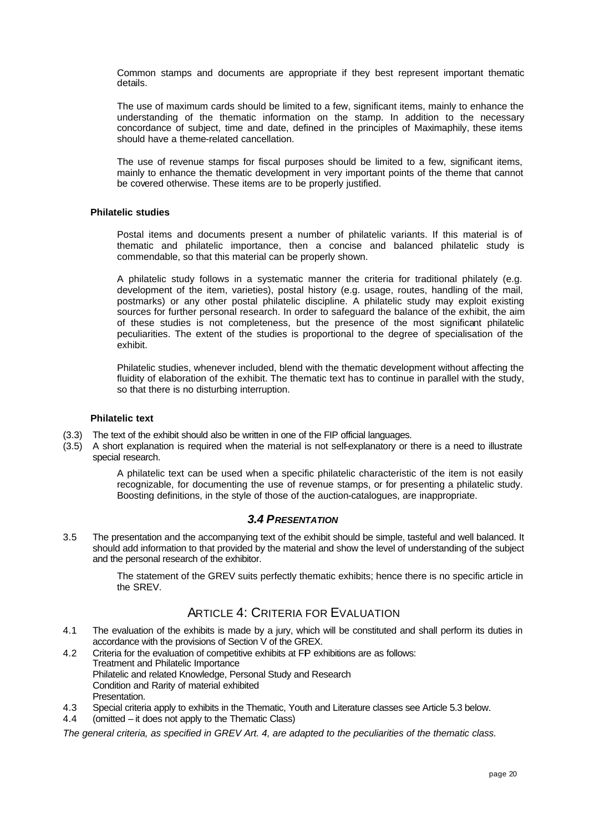Common stamps and documents are appropriate if they best represent important thematic details.

The use of maximum cards should be limited to a few, significant items, mainly to enhance the understanding of the thematic information on the stamp. In addition to the necessary concordance of subject, time and date, defined in the principles of Maximaphily, these items should have a theme-related cancellation.

The use of revenue stamps for fiscal purposes should be limited to a few, significant items, mainly to enhance the thematic development in very important points of the theme that cannot be covered otherwise. These items are to be properly justified.

### **Philatelic studies**

Postal items and documents present a number of philatelic variants. If this material is of thematic and philatelic importance, then a concise and balanced philatelic study is commendable, so that this material can be properly shown.

A philatelic study follows in a systematic manner the criteria for traditional philately (e.g. development of the item, varieties), postal history (e.g. usage, routes, handling of the mail, postmarks) or any other postal philatelic discipline. A philatelic study may exploit existing sources for further personal research. In order to safeguard the balance of the exhibit, the aim of these studies is not completeness, but the presence of the most significant philatelic peculiarities. The extent of the studies is proportional to the degree of specialisation of the exhibit.

Philatelic studies, whenever included, blend with the thematic development without affecting the fluidity of elaboration of the exhibit. The thematic text has to continue in parallel with the study, so that there is no disturbing interruption.

#### **Philatelic text**

- (3.3) The text of the exhibit should also be written in one of the FIP official languages.
- (3.5) A short explanation is required when the material is not self-explanatory or there is a need to illustrate special research.

A philatelic text can be used when a specific philatelic characteristic of the item is not easily recognizable, for documenting the use of revenue stamps, or for presenting a philatelic study. Boosting definitions, in the style of those of the auction-catalogues, are inappropriate.

## *3.4 PRESENTATION*

3.5 The presentation and the accompanying text of the exhibit should be simple, tasteful and well balanced. It should add information to that provided by the material and show the level of understanding of the subject and the personal research of the exhibitor.

> The statement of the GREV suits perfectly thematic exhibits; hence there is no specific article in the SREV.

# ARTICLE 4: CRITERIA FOR EVALUATION

- 4.1 The evaluation of the exhibits is made by a jury, which will be constituted and shall perform its duties in accordance with the provisions of Section V of the GREX.
- 4.2 Criteria for the evaluation of competitive exhibits at FP exhibitions are as follows: Treatment and Philatelic Importance Philatelic and related Knowledge, Personal Study and Research Condition and Rarity of material exhibited Presentation.
- 4.3 Special criteria apply to exhibits in the Thematic, Youth and Literature classes see Article 5.3 below.
- 4.4 (omitted it does not apply to the Thematic Class)

*The general criteria, as specified in GREV Art. 4, are adapted to the peculiarities of the thematic class.*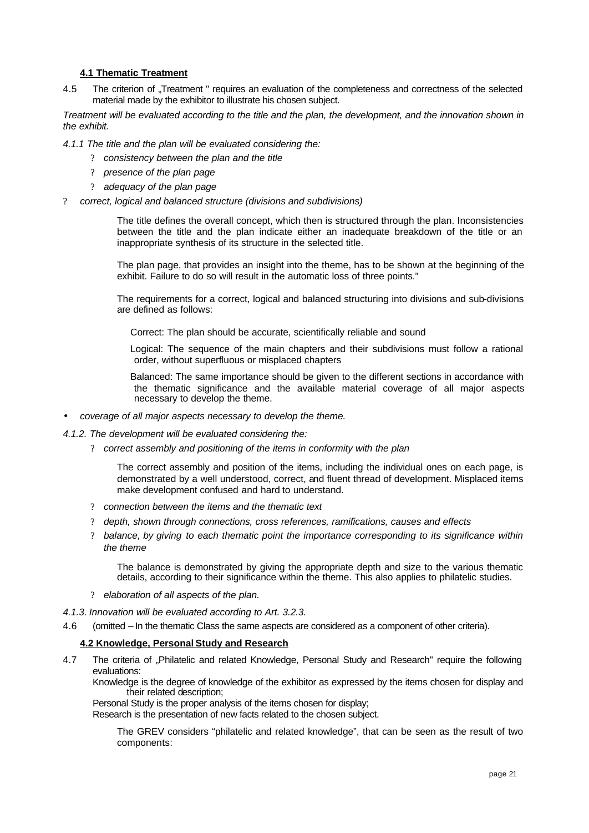### **4.1 Thematic Treatment**

4.5 The criterion of "Treatment " requires an evaluation of the completeness and correctness of the selected material made by the exhibitor to illustrate his chosen subject.

*Treatment will be evaluated according to the title and the plan, the development, and the innovation shown in the exhibit.*

*4.1.1 The title and the plan will be evaluated considering the:*

- ? *consistency between the plan and the title*
- ? *presence of the plan page*
- ? *adequacy of the plan page*
- ? *correct, logical and balanced structure (divisions and subdivisions)*

The title defines the overall concept, which then is structured through the plan. Inconsistencies between the title and the plan indicate either an inadequate breakdown of the title or an inappropriate synthesis of its structure in the selected title.

The plan page, that provides an insight into the theme, has to be shown at the beginning of the exhibit. Failure to do so will result in the automatic loss of three points."

The requirements for a correct, logical and balanced structuring into divisions and sub-divisions are defined as follows:

Correct: The plan should be accurate, scientifically reliable and sound

Logical: The sequence of the main chapters and their subdivisions must follow a rational order, without superfluous or misplaced chapters

Balanced: The same importance should be given to the different sections in accordance with the thematic significance and the available material coverage of all major aspects necessary to develop the theme.

• *coverage of all major aspects necessary to develop the theme.*

*4.1.2. The development will be evaluated considering the:*

? *correct assembly and positioning of the items in conformity with the plan*

The correct assembly and position of the items, including the individual ones on each page, is demonstrated by a well understood, correct, and fluent thread of development. Misplaced items make development confused and hard to understand.

- ? *connection between the items and the thematic text*
- ? *depth, shown through connections, cross references, ramifications, causes and effects*
- ? *balance, by giving to each thematic point the importance corresponding to its significance within the theme*

The balance is demonstrated by giving the appropriate depth and size to the various thematic details, according to their significance within the theme. This also applies to philatelic studies.

- ? *elaboration of all aspects of the plan.*
- *4.1.3. Innovation will be evaluated according to Art. 3.2.3.*
- 4.6 (omitted In the thematic Class the same aspects are considered as a component of other criteria).

#### **4.2 Knowledge, Personal Study and Research**

4.7 The criteria of "Philatelic and related Knowledge, Personal Study and Research" require the following evaluations:

Knowledge is the degree of knowledge of the exhibitor as expressed by the items chosen for display and their related description;

Personal Study is the proper analysis of the items chosen for display;

Research is the presentation of new facts related to the chosen subject.

The GREV considers "philatelic and related knowledge", that can be seen as the result of two components: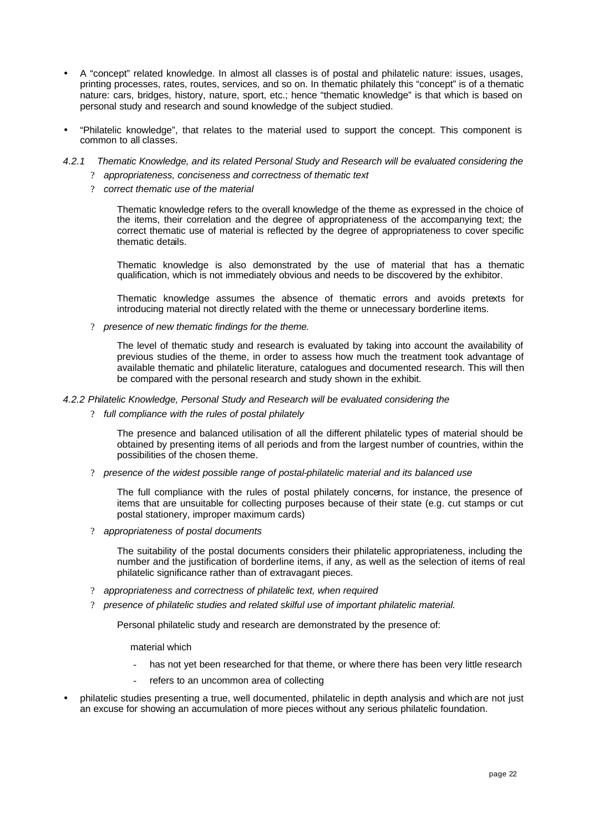- A "concept" related knowledge. In almost all classes is of postal and philatelic nature: issues, usages, printing processes, rates, routes, services, and so on. In thematic philately this "concept" is of a thematic nature: cars, bridges, history, nature, sport, etc.; hence "thematic knowledge" is that which is based on personal study and research and sound knowledge of the subject studied.
- "Philatelic knowledge", that relates to the material used to support the concept. This component is common to all classes.
- *4.2.1 Thematic Knowledge, and its related Personal Study and Research will be evaluated considering the* 
	- ? *appropriateness, conciseness and correctness of thematic text*
	- ? *correct thematic use of the material*

Thematic knowledge refers to the overall knowledge of the theme as expressed in the choice of the items, their correlation and the degree of appropriateness of the accompanying text; the correct thematic use of material is reflected by the degree of appropriateness to cover specific thematic details.

Thematic knowledge is also demonstrated by the use of material that has a thematic qualification, which is not immediately obvious and needs to be discovered by the exhibitor.

Thematic knowledge assumes the absence of thematic errors and avoids pretexts for introducing material not directly related with the theme or unnecessary borderline items.

? *presence of new thematic findings for the theme.*

The level of thematic study and research is evaluated by taking into account the availability of previous studies of the theme, in order to assess how much the treatment took advantage of available thematic and philatelic literature, catalogues and documented research. This will then be compared with the personal research and study shown in the exhibit.

#### *4.2.2 Philatelic Knowledge, Personal Study and Research will be evaluated considering the*

? *full compliance with the rules of postal philately*

The presence and balanced utilisation of all the different philatelic types of material should be obtained by presenting items of all periods and from the largest number of countries, within the possibilities of the chosen theme.

? *presence of the widest possible range of postal-philatelic material and its balanced use*

The full compliance with the rules of postal philately concerns, for instance, the presence of items that are unsuitable for collecting purposes because of their state (e.g. cut stamps or cut postal stationery, improper maximum cards)

? *appropriateness of postal documents*

The suitability of the postal documents considers their philatelic appropriateness, including the number and the justification of borderline items, if any, as well as the selection of items of real philatelic significance rather than of extravagant pieces.

- ? *appropriateness and correctness of philatelic text, when required*
- ? *presence of philatelic studies and related skilful use of important philatelic material.*

Personal philatelic study and research are demonstrated by the presence of:

material which

- has not yet been researched for that theme, or where there has been very little research
- refers to an uncommon area of collecting
- philatelic studies presenting a true, well documented, philatelic in depth analysis and which are not just an excuse for showing an accumulation of more pieces without any serious philatelic foundation.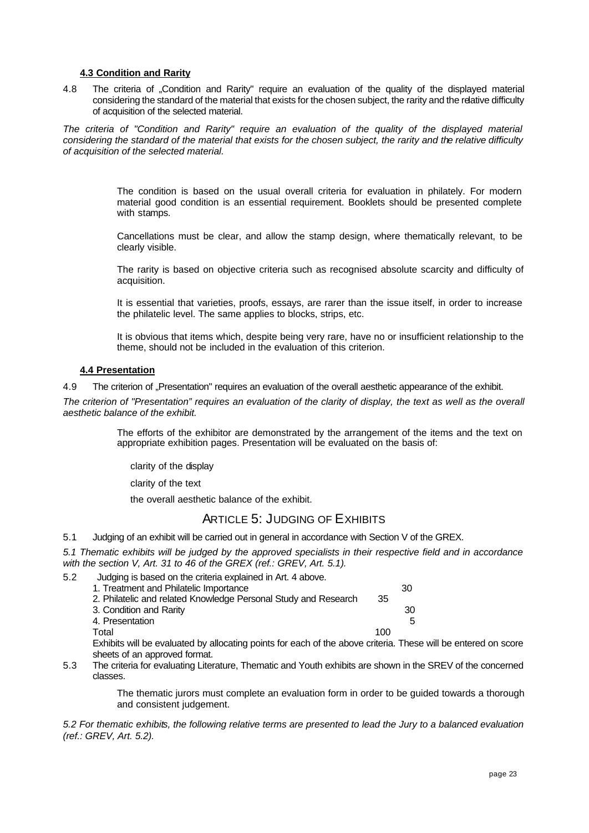### **4.3 Condition and Rarity**

4.8 The criteria of "Condition and Rarity" require an evaluation of the quality of the displayed material considering the standard of the material that exists for the chosen subject, the rarity and the relative difficulty of acquisition of the selected material.

*The criteria of "Condition and Rarity" require an evaluation of the quality of the displayed material considering the standard of the material that exists for the chosen subject, the rarity and the relative difficulty of acquisition of the selected material.*

> The condition is based on the usual overall criteria for evaluation in philately. For modern material good condition is an essential requirement. Booklets should be presented complete with stamps.

> Cancellations must be clear, and allow the stamp design, where thematically relevant, to be clearly visible.

> The rarity is based on objective criteria such as recognised absolute scarcity and difficulty of acquisition.

> It is essential that varieties, proofs, essays, are rarer than the issue itself, in order to increase the philatelic level. The same applies to blocks, strips, etc.

> It is obvious that items which, despite being very rare, have no or insufficient relationship to the theme, should not be included in the evaluation of this criterion.

### **4.4 Presentation**

4.9 The criterion of "Presentation" requires an evaluation of the overall aesthetic appearance of the exhibit.

*The criterion of "Presentation" requires an evaluation of the clarity of display, the text as well as the overall aesthetic balance of the exhibit.* 

> The efforts of the exhibitor are demonstrated by the arrangement of the items and the text on appropriate exhibition pages. Presentation will be evaluated on the basis of:

clarity of the display

clarity of the text

the overall aesthetic balance of the exhibit.

# ARTICLE 5: JUDGING OF EXHIBITS

5.1 Judging of an exhibit will be carried out in general in accordance with Section V of the GREX.

*5.1 Thematic exhibits will be judged by the approved specialists in their respective field and in accordance with the section V, Art. 31 to 46 of the GREX (ref.: GREV, Art. 5.1).*

5.2 Judging is based on the criteria explained in Art. 4 above.

| 1. Treatment and Philatelic Importance                          |     | 30 |
|-----------------------------------------------------------------|-----|----|
| 2. Philatelic and related Knowledge Personal Study and Research | 35  |    |
| 3. Condition and Rarity                                         |     | 30 |
| 4. Presentation                                                 |     | 5. |
| Total                                                           | 100 |    |

Exhibits will be evaluated by allocating points for each of the above criteria. These will be entered on score sheets of an approved format.

5.3 The criteria for evaluating Literature, Thematic and Youth exhibits are shown in the SREV of the concerned classes.

> The thematic jurors must complete an evaluation form in order to be guided towards a thorough and consistent judgement.

*5.2 For thematic exhibits, the following relative terms are presented to lead the Jury to a balanced evaluation (ref.: GREV, Art. 5.2).*